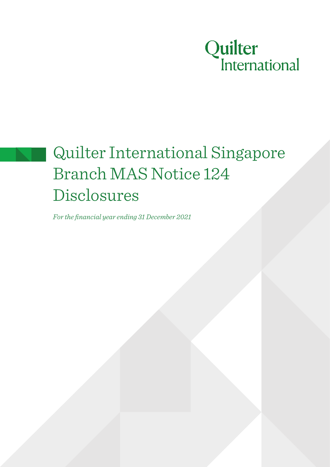

# Quilter International Singapore Branch MAS Notice 124 Disclosures

*For the financial year ending 31 December 2021*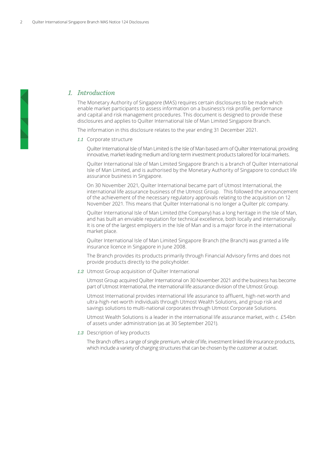# *1. Introduction*

The Monetary Authority of Singapore (MAS) requires certain disclosures to be made which enable market participants to assess information on a business's risk profile, performance and capital and risk management procedures. This document is designed to provide these disclosures and applies to Quilter International Isle of Man Limited Singapore Branch.

The information in this disclosure relates to the year ending 31 December 2021.

*1.1* Corporate structure

Quilter International Isle of Man Limited is the Isle of Man based arm of Quilter International, providing innovative, market-leading medium and long-term investment products tailored for local markets.

Quilter International Isle of Man Limited Singapore Branch is a branch of Quilter International Isle of Man Limited, and is authorised by the Monetary Authority of Singapore to conduct life assurance business in Singapore.

On 30 November 2021, Quilter International became part of Utmost International, the international life assurance business of the Utmost Group. This followed the announcement of the achievement of the necessary regulatory approvals relating to the acquisition on 12 November 2021. This means that Quilter International is no longer a Quilter plc company.

Quilter International Isle of Man Limited (the Company) has a long heritage in the Isle of Man, and has built an enviable reputation for technical excellence, both locally and internationally. It is one of the largest employers in the Isle of Man and is a major force in the international market place.

Quilter International Isle of Man Limited Singapore Branch (the Branch) was granted a life insurance licence in Singapore in June 2008.

The Branch provides its products primarily through Financial Advisory firms and does not provide products directly to the policyholder.

*1.2* Utmost Group acquisition of Quilter International

Utmost Group acquired Quilter International on 30 November 2021 and the business has become part of Utmost International, the international life assurance division of the Utmost Group.

Utmost International provides international life assurance to affluent, high-net-worth and ultra-high-net-worth individuals through Utmost Wealth Solutions, and group risk and savings solutions to multi-national corporates through Utmost Corporate Solutions.

Utmost Wealth Solutions is a leader in the international life assurance market, with c. £54bn of assets under administration (as at 30 September 2021).

*1.3* Description of key products

The Branch offers a range of single premium, whole of life, investment linked life insurance products, which include a variety of charging structures that can be chosen by the customer at outset.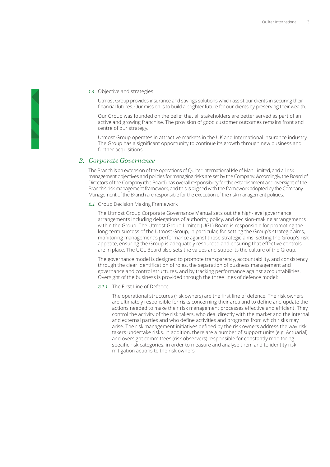#### *1.4* Objective and strategies

Utmost Group provides insurance and savings solutions which assist our clients in securing their financial futures. Our mission is to build a brighter future for our clients by preserving their wealth.

Our Group was founded on the belief that all stakeholders are better served as part of an active and growing franchise. The provision of good customer outcomes remains front and centre of our strategy.

Utmost Group operates in attractive markets in the UK and International insurance industry. The Group has a significant opportunity to continue its growth through new business and further acquisitions.

# *2. Corporate Governance*

The Branch is an extension of the operations of Quilter International Isle of Man Limited, and all risk management objectives and policies for managing risks are set by the Company. Accordingly, the Board of Directors of the Company (the Board) has overall responsibility for the establishment and oversight of the Branch's risk management framework, and this is aligned with the framework adopted by the Company. Management of the Branch are responsible for the execution of the risk management policies.

#### *2.1* Group Decision Making Framework

The Utmost Group Corporate Governance Manual sets out the high-level governance arrangements including delegations of authority, policy, and decision-making arrangements within the Group. The Utmost Group Limited (UGL) Board is responsible for promoting the long-term success of the Utmost Group, in particular, for setting the Group's strategic aims, monitoring management's performance against those strategic aims, setting the Group's risk appetite, ensuring the Group is adequately resourced and ensuring that effective controls are in place. The UGL Board also sets the values and supports the culture of the Group.

The governance model is designed to promote transparency, accountability, and consistency through the clear identification of roles, the separation of business management and governance and control structures, and by tracking performance against accountabilities. Oversight of the business is provided through the three lines of defence model:

#### *2.1.1* The First Line of Defence

The operational structures (risk owners) are the first line of defence. The risk owners are ultimately responsible for risks concerning their area and to define and update the actions needed to make their risk management processes effective and efficient. They control the activity of the risk takers, who deal directly with the market and the internal and external parties and who define activities and programs from which risks may arise. The risk management initiatives defined by the risk owners address the way risk takers undertake risks. In addition, there are a number of support units (e.g. Actuarial) and oversight committees (risk observers) responsible for constantly monitoring specific risk categories, in order to measure and analyse them and to identity risk mitigation actions to the risk owners;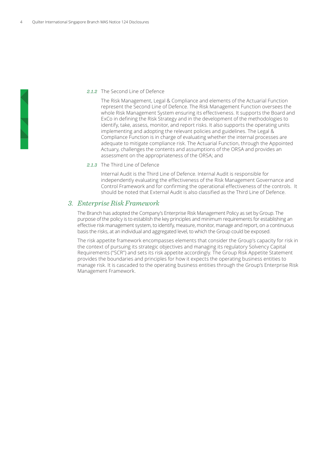#### *2.1.2* The Second Line of Defence

The Risk Management, Legal & Compliance and elements of the Actuarial Function represent the Second Line of Defence. The Risk Management Function oversees the whole Risk Management System ensuring its effectiveness. It supports the Board and ExCo in defining the Risk Strategy and in the development of the methodologies to identify, take, assess, monitor, and report risks. It also supports the operating units implementing and adopting the relevant policies and guidelines. The Legal & Compliance Function is in charge of evaluating whether the internal processes are adequate to mitigate compliance risk. The Actuarial Function, through the Appointed Actuary, challenges the contents and assumptions of the ORSA and provides an assessment on the appropriateness of the ORSA; and

#### *2.1.3* The Third Line of Defence

Internal Audit is the Third Line of Defence. Internal Audit is responsible for independently evaluating the effectiveness of the Risk Management Governance and Control Framework and for confirming the operational effectiveness of the controls. It should be noted that External Audit is also classified as the Third Line of Defence.

# *3. Enterprise Risk Framework*

The Branch has adopted the Company's Enterprise Risk Management Policy as set by Group. The purpose of the policy is to establish the key principles and minimum requirements for establishing an effective risk management system, to identify, measure, monitor, manage and report, on a continuous basis the risks, at an individual and aggregated level, to which the Group could be exposed.

The risk appetite framework encompasses elements that consider the Group's capacity for risk in the context of pursuing its strategic objectives and managing its regulatory Solvency Capital Requirements ("SCR") and sets its risk appetite accordingly. The Group Risk Appetite Statement provides the boundaries and principles for how it expects the operating business entities to manage risk. It is cascaded to the operating business entities through the Group's Enterprise Risk Management Framework.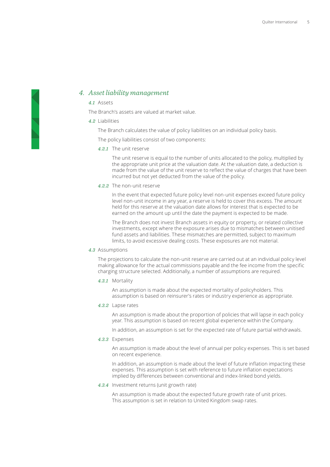# *4. Asset liability management*

#### *4.1* Assets

The Branch's assets are valued at market value.

#### *4.2* Liabilities

The Branch calculates the value of policy liabilities on an individual policy basis.

The policy liabilities consist of two components:

#### *4.2.1* The unit reserve

The unit reserve is equal to the number of units allocated to the policy, multiplied by the appropriate unit price at the valuation date. At the valuation date, a deduction is made from the value of the unit reserve to reflect the value of charges that have been incurred but not yet deducted from the value of the policy.

### *4.2.2* The non-unit reserve

In the event that expected future policy level non-unit expenses exceed future policy level non-unit income in any year, a reserve is held to cover this excess. The amount held for this reserve at the valuation date allows for interest that is expected to be earned on the amount up until the date the payment is expected to be made.

The Branch does not invest Branch assets in equity or property, or related collective investments, except where the exposure arises due to mismatches between unitised fund assets and liabilities. These mismatches are permitted, subject to maximum limits, to avoid excessive dealing costs. These exposures are not material.

#### *4.3* Assumptions

The projections to calculate the non-unit reserve are carried out at an individual policy level making allowance for the actual commissions payable and the fee income from the specific charging structure selected. Additionally, a number of assumptions are required.

#### *4.3.1* Mortality

An assumption is made about the expected mortality of policyholders. This assumption is based on reinsurer's rates or industry experience as appropriate.

#### *4.3.2* Lapse rates

An assumption is made about the proportion of policies that will lapse in each policy year. This assumption is based on recent global experience within the Company.

In addition, an assumption is set for the expected rate of future partial withdrawals.

#### *4.3.3* Expenses

An assumption is made about the level of annual per policy expenses. This is set based on recent experience.

In addition, an assumption is made about the level of future inflation impacting these expenses. This assumption is set with reference to future inflation expectations implied by differences between conventional and index-linked bond yields.

#### *4.3.4* Investment returns (unit growth rate)

An assumption is made about the expected future growth rate of unit prices. This assumption is set in relation to United Kingdom swap rates.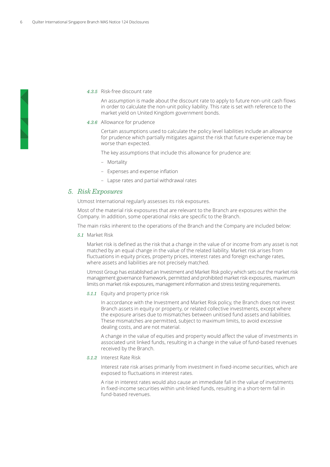#### *4.3.5* Risk-free discount rate

An assumption is made about the discount rate to apply to future non-unit cash flows in order to calculate the non-unit policy liability. This rate is set with reference to the market yield on United Kingdom government bonds.

#### *4.3.6* Allowance for prudence

Certain assumptions used to calculate the policy level liabilities include an allowance for prudence which partially mitigates against the risk that future experience may be worse than expected.

The key assumptions that include this allowance for prudence are:

- Mortality
- Expenses and expense inflation
- Lapse rates and partial withdrawal rates

# *5. Risk Exposures*

Utmost International regularly assesses its risk exposures.

Most of the material risk exposures that are relevant to the Branch are exposures within the Company. In addition, some operational risks are specific to the Branch.

The main risks inherent to the operations of the Branch and the Company are included below:

#### *5.1* Market Risk

Market risk is defined as the risk that a change in the value of or income from any asset is not matched by an equal change in the value of the related liability. Market risk arises from fluctuations in equity prices, property prices, interest rates and foreign exchange rates, where assets and liabilities are not precisely matched.

Utmost Group has established an Investment and Market Risk policy which sets out the market risk management governance framework, permitted and prohibited market risk exposures, maximum limits on market risk exposures, management information and stress testing requirements.

*5.1.1* Equity and property price risk

In accordance with the Investment and Market Risk policy, the Branch does not invest Branch assets in equity or property, or related collective investments, except where the exposure arises due to mismatches between unitised fund assets and liabilities. These mismatches are permitted, subject to maximum limits, to avoid excessive dealing costs, and are not material.

A change in the value of equities and property would affect the value of investments in associated unit linked funds, resulting in a change in the value of fund-based revenues received by the Branch.

*5.1.2* Interest Rate Risk

Interest rate risk arises primarily from investment in fixed-income securities, which are exposed to fluctuations in interest rates.

A rise in interest rates would also cause an immediate fall in the value of investments in fixed-income securities within unit-linked funds, resulting in a short-term fall in fund-based revenues.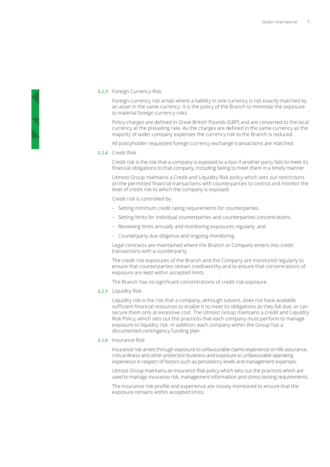### *5.1.3* Foreign Currency Risk

Foreign currency risk arises where a liability in one currency is not exactly matched by an asset in the same currency. It is the policy of the Branch to minimise the exposure to material foreign currency risks.

Policy charges are defined in Great British Pounds (GBP) and are converted to the local currency at the prevailing rate. As the charges are defined in the same currency as the majority of wider company expenses the currency risk to the Branch is reduced.

All policyholder requested foreign currency exchange transactions are matched.

#### *5.1.4* Credit Risk

Credit risk is the risk that a company is exposed to a loss if another party fails to meet its financial obligations to that company, including failing to meet them in a timely manner.

Utmost Group maintains a Credit and Liquidity Risk policy which sets out restrictions on the permitted financial transactions with counterparties to control and monitor the level of credit risk to which the company is exposed.

Credit risk is controlled by:

- Setting minimum credit rating requirements for counterparties.
- Setting limits for individual counterparties and counterparties concentrations.
- Reviewing limits annually and monitoring exposures regularly; and
- Counterparty due diligence and ongoing monitoring.

Legal contracts are maintained where the Branch or Company enters into credit transactions with a counterparty.

The credit risk exposures of the Branch and the Company are monitored regularly to ensure that counterparties remain creditworthy and to ensure that concentrations of exposure are kept within accepted limits.

The Branch has no significant concentrations of credit risk exposure.

*5.1.5* Liquidity Risk

Liquidity risk is the risk that a company, although solvent, does not have available sufficient financial resources to enable it to meet its obligations as they fall due, or can secure them only at excessive cost. The Utmost Group maintains a Credit and Liquidity Risk Policy, which sets out the practices that each company must perform to manage exposure to liquidity risk. In addition, each company within the Group has a documented contingency funding plan.

*5.1.6* Insurance Risk

Insurance risk arises through exposure to unfavourable claims experience on life assurance, critical illness and other protection business and exposure to unfavourable operating experience in respect of factors such as persistency levels and management expenses.

Utmost Group maintains an Insurance Risk policy which sets out the practices which are used to manage insurance risk, management information and stress testing requirements.

The insurance risk profile and experience are closely monitored to ensure that the exposure remains within accepted limits.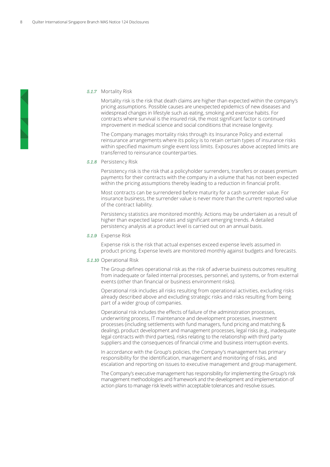#### *5.1.7* Mortality Risk

Mortality risk is the risk that death claims are higher than expected within the company's pricing assumptions. Possible causes are unexpected epidemics of new diseases and widespread changes in lifestyle such as eating, smoking and exercise habits. For contracts where survival is the insured risk, the most significant factor is continued improvement in medical science and social conditions that increase longevity.

The Company manages mortality risks through its Insurance Policy and external reinsurance arrangements where its policy is to retain certain types of insurance risks within specified maximum single event loss limits. Exposures above accepted limits are transferred to reinsurance counterparties.

#### *5.1.8* Persistency Risk

Persistency risk is the risk that a policyholder surrenders, transfers or ceases premium payments for their contracts with the company in a volume that has not been expected within the pricing assumptions thereby leading to a reduction in financial profit.

Most contracts can be surrendered before maturity for a cash surrender value. For insurance business, the surrender value is never more than the current reported value of the contract liability.

Persistency statistics are monitored monthly. Actions may be undertaken as a result of higher than expected lapse rates and significant emerging trends. A detailed persistency analysis at a product level is carried out on an annual basis.

#### *5.1.9* Expense Risk

Expense risk is the risk that actual expenses exceed expense levels assumed in product pricing. Expense levels are monitored monthly against budgets and forecasts.

#### *5.1.10* Operational Risk

The Group defines operational risk as the risk of adverse business outcomes resulting from inadequate or failed internal processes, personnel, and systems, or from external events (other than financial or business environment risks).

Operational risk includes all risks resulting from operational activities, excluding risks already described above and excluding strategic risks and risks resulting from being part of a wider group of companies.

Operational risk includes the effects of failure of the administration processes, underwriting process, IT maintenance and development processes, investment processes (including settlements with fund managers, fund pricing and matching & dealing), product development and management processes, legal risks (e.g., inadequate legal contracts with third parties), risks relating to the relationship with third party suppliers and the consequences of financial crime and business interruption events.

In accordance with the Group's policies, the Company's management has primary responsibility for the identification, management and monitoring of risks, and escalation and reporting on issues to executive management and group management.

The Company's executive management has responsibility for implementing the Group's risk management methodologies and framework and the development and implementation of action plans to manage risk levels within acceptable tolerances and resolve issues.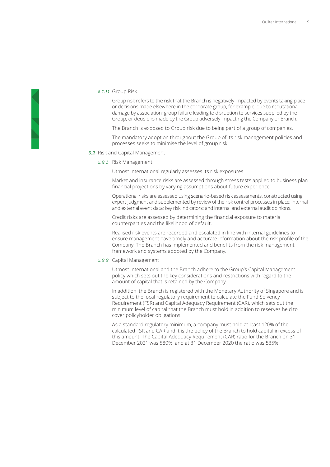#### *5.1.11* Group Risk

Group risk refers to the risk that the Branch is negatively impacted by events taking place or decisions made elsewhere in the corporate group, for example: due to reputational damage by association; group failure leading to disruption to services supplied by the Group; or decisions made by the Group adversely impacting the Company or Branch.

The Branch is exposed to Group risk due to being part of a group of companies.

The mandatory adoption throughout the Group of its risk management policies and processes seeks to minimise the level of group risk.

*5.2* Risk and Capital Management

#### *5.2.1* Risk Management

Utmost International regularly assesses its risk exposures.

Market and insurance risks are assessed through stress tests applied to business plan financial projections by varying assumptions about future experience.

Operational risks are assessed using scenario-based risk assessments, constructed using expert judgment and supplemented by review of the risk control processes in place; internal and external event data; key risk indicators; and internal and external audit opinions.

Credit risks are assessed by determining the financial exposure to material counterparties and the likelihood of default.

Realised risk events are recorded and escalated in line with internal guidelines to ensure management have timely and accurate information about the risk profile of the Company. The Branch has implemented and benefits from the risk management framework and systems adopted by the Company.

## *5.2.2* Capital Management

Utmost International and the Branch adhere to the Group's Capital Management policy which sets out the key considerations and restrictions with regard to the amount of capital that is retained by the Company.

In addition, the Branch is registered with the Monetary Authority of Singapore and is subject to the local regulatory requirement to calculate the Fund Solvency Requirement (FSR) and Capital Adequacy Requirement (CAR), which sets out the minimum level of capital that the Branch must hold in addition to reserves held to cover policyholder obligations.

As a standard regulatory minimum, a company must hold at least 120% of the calculated FSR and CAR and it is the policy of the Branch to hold capital in excess of this amount. The Capital Adequacy Requirement (CAR) ratio for the Branch on 31 December 2021 was 580%, and at 31 December 2020 the ratio was 535%.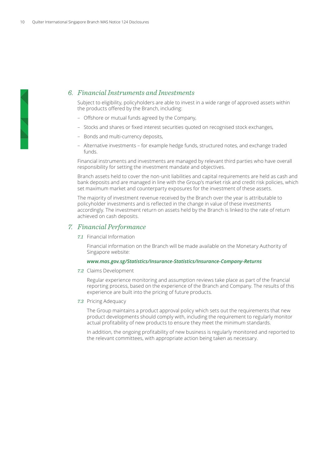# *6. Financial Instruments and Investments*

Subject to eligibility, policyholders are able to invest in a wide range of approved assets within the products offered by the Branch, including:

- Offshore or mutual funds agreed by the Company,
- Stocks and shares or fixed interest securities quoted on recognised stock exchanges,
- Bonds and multi-currency deposits,
- Alternative investments for example hedge funds, structured notes, and exchange traded funds.

Financial instruments and investments are managed by relevant third parties who have overall responsibility for setting the investment mandate and objectives.

Branch assets held to cover the non-unit liabilities and capital requirements are held as cash and bank deposits and are managed in line with the Group's market risk and credit risk policies, which set maximum market and counterparty exposures for the investment of these assets.

The majority of investment revenue received by the Branch over the year is attributable to policyholder investments and is reflected in the change in value of these investments accordingly. The investment return on assets held by the Branch is linked to the rate of return achieved on cash deposits.

# *7. Financial Performance*

*7.1* Financial Information

Financial information on the Branch will be made available on the Monetary Authority of Singapore website:

#### *www.mas.gov.sg/Statistics/Insurance-Statistics/Insurance-Company-Returns*

*7.2* Claims Development

Regular experience monitoring and assumption reviews take place as part of the financial reporting process, based on the experience of the Branch and Company. The results of this experience are built into the pricing of future products.

*7.3* Pricing Adequacy

The Group maintains a product approval policy which sets out the requirements that new product developments should comply with, including the requirement to regularly monitor actual profitability of new products to ensure they meet the minimum standards.

In addition, the ongoing profitability of new business is regularly monitored and reported to the relevant committees, with appropriate action being taken as necessary.